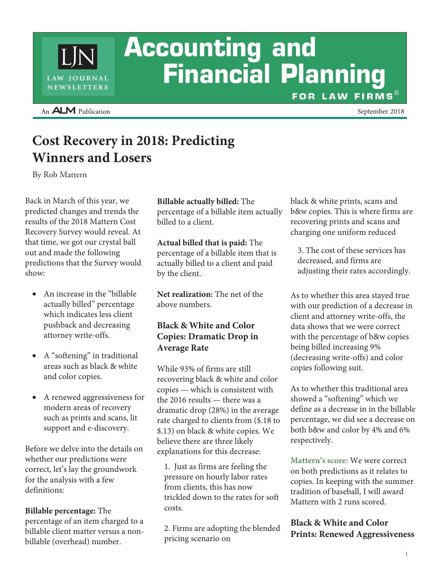# **Accounting and Financial Planning** FOR LAW FIRMS®

An **ALM** Publication

LAW JOURNAL NEWSLETTERS

September 2018

# **Cost Recovery in 2018: Predicting Winners and Losers**

By Rob Mattern

Back in March of this year, we predicted changes and trends the results of the 2018 Mattern Cost Recovery Survey would reveal. At that time, we got our crystal ball out and made the following predictions that the Survey would show:

- An increase in the "billable actually billed" percentage which indicates less client pushback and decreasing attorney write-offs.
- $\bullet$ A "softening" in traditional areas such as black & white and color copies.
- A renewed aggressiveness for modern areas of recovery such as prints and scans, lit support and e-discovery.

Before we delve into the details on whether our predictions were correct, let's lay the groundwork for the analysis with a few definitions:

**Billable percentage:** The percentage of an item charged to a billable client matter versus a nonbillable (overhead) number.

**Billable actually billed:** The percentage of a billable item actually billed to a client.

**Actual billed that is paid:** The percentage of a billable item that is actually billed to a client and paid by the client.

**Net realization:** The net of the above numbers.

### **Black & White and Color Copies: Dramatic Drop in Average Rate**

While 93% of firms are still recovering black & white and color copies — which is consistent with the 2016 results — there was a dramatic drop (28%) in the average rate charged to clients from (\$.18 to \$.13) on black & white copies. We believe there are three likely explanations for this decrease:

1. Just as firms are feeling the pressure on hourly labor rates from clients, this has now trickled down to the rates for soft costs.

2. Firms are adopting the blended pricing scenario on

black & white prints, scans and b&w copies. This is where firms are recovering prints and scans and charging one uniform reduced

3. The cost of these services has decreased, and firms are adjusting their rates accordingly.

As to whether this area stayed true with our prediction of a decrease in client and attorney write-offs, the data shows that we were correct with the percentage of b&w copies being billed increasing 9% (decreasing write-offs) and color copies following suit.

As to whether this traditional area showed a "softening" which we define as a decrease in in the billable percentage, we did see a decrease on both b&w and color by 4% and 6% respectively.

**Mattern's score:** We were correct on both predictions as it relates to copies. In keeping with the summer tradition of baseball, I will award Mattern with 2 runs scored.

#### **Black & White and Color Prints: Renewed Aggressiveness**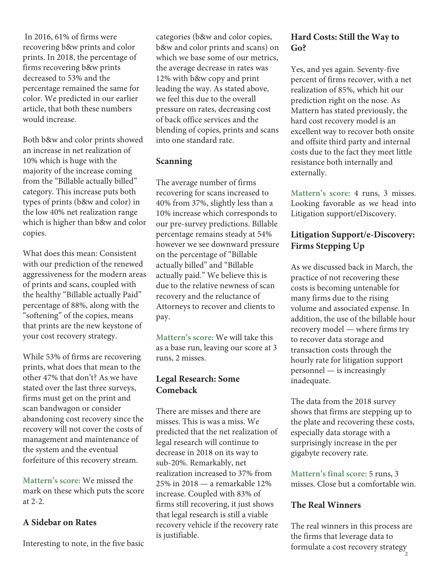In 2016, 61% of firms were recovering b&w prints and color prints. In 2018, the percentage of firms recovering b&w prints decreased to 53% and the percentage remained the same for color. We predicted in our earlier article, that both these numbers would increase.

Both b&w and color prints showed an increase in net realization of 10% which is huge with the majority of the increase coming from the "Billable actually billed" category. This increase puts both types of prints (b&w and color) in the low 40% net realization range which is higher than b&w and color copies.

What does this mean: Consistent with our prediction of the renewed aggressiveness for the modern areas of prints and scans, coupled with the healthy "Billable actually Paid" percentage of 88%, along with the "softening" of the copies, means that prints are the new keystone of your cost recovery strategy.

While 53% of firms are recovering prints, what does that mean to the other 47% that don't? As we have stated over the last three surveys, firms must get on the print and scan bandwagon or consider abandoning cost recovery since the recovery will not cover the costs of management and maintenance of the system and the eventual forfeiture of this recovery stream.

**Mattern's score:** We missed the mark on these which puts the score at 2-2.

#### **A Sidebar on Rates**

Interesting to note, in the five basic

categories (b&w and color copies, b&w and color prints and scans) on which we base some of our metrics, the average decrease in rates was 12% with b&w copy and print leading the way. As stated above, we feel this due to the overall pressure on rates, decreasing cost of back office services and the blending of copies, prints and scans into one standard rate.

#### **Scanning**

The average number of firms recovering for scans increased to 40% from 37%, slightly less than a 10% increase which corresponds to our pre-survey predictions. Billable percentage remains steady at 54% however we see downward pressure on the percentage of "Billable actually billed" and "Billable actually paid." We believe this is due to the relative newness of scan recovery and the reluctance of Attorneys to recover and clients to pay.

**Mattern's score:** We will take this as a base run, leaving our score at 3 runs, 2 misses.

### **Legal Research: Some Comeback**

There are misses and there are misses. This is was a miss. We predicted that the net realization of legal research will continue to decrease in 2018 on its way to sub-20%. Remarkably, net realization increased to 37% from 25% in 2018 — a remarkable 12% increase. Coupled with 83% of firms still recovering, it just shows that legal research is still a viable recovery vehicle if the recovery rate is justifiable.

# **Hard Costs: Still the Way to Go?**

Yes, and yes again. Seventy-five percent of firms recover, with a net realization of 85%, which hit our prediction right on the nose. As Mattern has stated previously, the hard cost recovery model is an excellent way to recover both onsite and offsite third party and internal costs due to the fact they meet little resistance both internally and externally.

**Mattern's score:** 4 runs, 3 misses. Looking favorable as we head into Litigation support/eDiscovery.

# **Litigation Support/e-Discovery: Firms Stepping Up**

As we discussed back in March, the practice of not recovering these costs is becoming untenable for many firms due to the rising volume and associated expense. In addition, the use of the billable hour recovery model — where firms try to recover data storage and transaction costs through the hourly rate for litigation support personnel — is increasingly inadequate.

The data from the 2018 survey shows that firms are stepping up to the plate and recovering these costs, especially data storage with a surprisingly increase in the per gigabyte recovery rate.

**Mattern's final score:** 5 runs, 3 misses. Close but a comfortable win.

#### **The Real Winners**

The real winners in this process are the firms that leverage data to formulate a cost recovery strategy 2